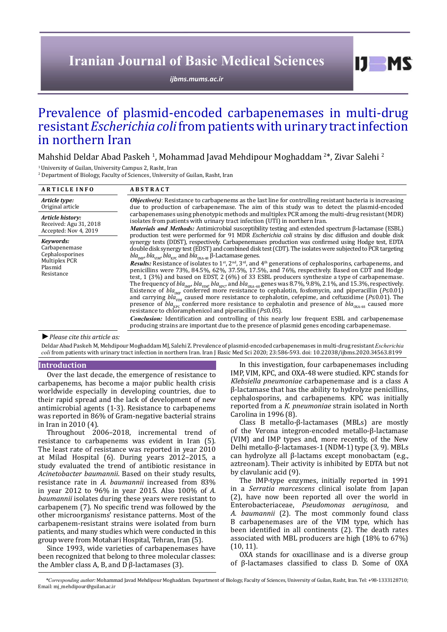# **Iranian Journal of Basic Medical Sciences**

*[ijbms.mums.ac.ir](http://ijbms.mums.ac.ir)*

# Prevalence of plasmid-encoded carbapenemases in multi-drug resistant *Escherichia coli* from patients with urinary tract infection in northern Iran

Mahshid Deldar Abad Paskeh <sup>1</sup>, Mohammad Javad Mehdipour Moghaddam <sup>2</sup>\*, Zivar Salehi <sup>2</sup>

<sup>1</sup> University of Guilan, University Campus 2, Rasht, Iran

2 Department of Biology, Faculty of Sciences, University of Guilan, Rasht, Iran

| <b>ARTICLE INFO</b>                                                 | <b>ABSTRACT</b>                                                                                                                                                                                                                                                                                                                                                                                                                                                                                                                                                                                                                                                                                                                                                                                                                                                                                                                                     |  |  |  |  |
|---------------------------------------------------------------------|-----------------------------------------------------------------------------------------------------------------------------------------------------------------------------------------------------------------------------------------------------------------------------------------------------------------------------------------------------------------------------------------------------------------------------------------------------------------------------------------------------------------------------------------------------------------------------------------------------------------------------------------------------------------------------------------------------------------------------------------------------------------------------------------------------------------------------------------------------------------------------------------------------------------------------------------------------|--|--|--|--|
| Article type:<br>Original article                                   | <b><i>Objective(s)</i></b> : Resistance to carbapenems as the last line for controlling resistant bacteria is increasing<br>due to production of carbapenemase. The aim of this study was to detect the plasmid-encoded                                                                                                                                                                                                                                                                                                                                                                                                                                                                                                                                                                                                                                                                                                                             |  |  |  |  |
| Article history:<br>Received: Agu 31, 2018<br>Accepted: Nov 4, 2019 | carbapenemases using phenotypic methods and multiplex PCR among the multi-drug resistant (MDR)<br>isolates from patients with urinary tract infection (UTI) in northern Iran.<br><i>Materials and Methods:</i> Antimicrobial susceptibility testing and extended spectrum β-lactamase (ESBL)                                                                                                                                                                                                                                                                                                                                                                                                                                                                                                                                                                                                                                                        |  |  |  |  |
| Kevwords:<br>Carbapenemase<br>Cephalosporines                       | production test were performed for 91 MDR <i>Escherichia coli</i> strains by disc diffusion and double disk<br>synergy tests (DDST), respectively. Carbapenemases production was confirmed using Hodge test, EDTA<br>double disk synergy test (EDST) and combined disk test (CDT). The isolates were subjected to PCR targeting<br>$bla_{\text{imp}}$ , bla <sub>vIM</sub> , bla <sub>vPC</sub> and bla <sub>oxΔ48</sub> β-Lactamase genes.                                                                                                                                                                                                                                                                                                                                                                                                                                                                                                         |  |  |  |  |
| Multiplex PCR<br>Plasmid<br>Resistance                              | <b>Results:</b> Resistance of isolates to 1 <sup>st</sup> , 2 <sup>nd</sup> , 3 <sup>rd</sup> , and 4 <sup>th</sup> generations of cephalosporins, carbapenems, and<br>penicillins were 73%, 84.5%, 62%, 37.5%, 17.5%, and 76%, respectively. Based on CDT and Hodge<br>test, $1(3\%)$ and based on EDST, $2(6\%)$ of 33 ESBL producers synthesize a type of carbapenemase.<br>The frequency of $bla_{MPP}$ , $bla_{VDP}$ , $bla_{VPP}$ , and $bla_{OXA-48}$ genes was 8.7%, 9.8%, 2.1%, and 15.3%, respectively.<br>Existence of $bla_{\text{MIP}}$ conferred more resistance to cephalotin, fosfomycin, and piperacillin (P≤0.01)<br>and carrying $bla_{\text{VIM}}$ caused more resistance to cephalotin, cefepime, and ceftazidime (P≤0.01). The<br>presence of $bla_{wp}$ conferred more resistance to cephalotin and presence of $bla_{\alpha_{\text{MA-48}}}$ caused more<br>resistance to chloramphenicol and piperacillin $(P \le 0.05)$ . |  |  |  |  |
|                                                                     | <b>Conclusion:</b> Identification and controlling of this nearly low frequent ESBL and carbapenemase<br>producing strains are important due to the presence of plasmid genes encoding carbapenemase.                                                                                                                                                                                                                                                                                                                                                                                                                                                                                                                                                                                                                                                                                                                                                |  |  |  |  |

*►Please cite this article as:*

Deldar Abad Paskeh M, Mehdipour Moghaddam MJ, Salehi Z. Prevalence of plasmid-encoded carbapenemases in multi-drug resistant *Escherichia coli* from patients with urinary tract infection in northern Iran. Iran J Basic Med Sci 2020; 23:586-593. doi: 10.22038/ijbms.2020.34563.8199

# **Introduction**

Over the last decade, the emergence of resistance to carbapenems, has become a major public health crisis worldwide especially in developing countries, due to their rapid spread and the lack of development of new antimicrobial agents (1-3). Resistance to carbapenems was reported in 86% of Gram-negative bacterial strains in Iran in 2010 (4).

Throughout 2006–2018, incremental trend of resistance to carbapenems was evident in Iran (5). The least rate of resistance was reported in year 2010 at Milad Hospital (6). During years 2012–2015, a study evaluated the trend of antibiotic resistance in *Acinetobacter baumannii*. Based on their study results, resistance rate in *A. baumannii* increased from 83% in year 2012 to 96% in year 2015. Also 100% of *A. baumannii* isolates during these years were resistant to carbapenem (7). No specific trend was followed by the other microorganisms' resistance patterns. Most of the carbapenem-resistant strains were isolated from burn patients, and many studies which were conducted in this group were from Motahari Hospital, Tehran, Iran (5).

Since 1993, wide varieties of carbapenemases have been recognized that belong to three molecular classes: the Ambler class A, B, and D β-lactamases (3).

In this investigation, four carbapenemases including IMP, VIM, KPC, and OXA-48 were studied. KPC stands for *Klebsiella pneumoniae* carbapenemase and is a class A β-lactamase that has the ability to hydrolyze penicillins, cephalosporins, and carbapenems. KPC was initially reported from a *K. pneumoniae* strain isolated in North Carolina in 1996 (8).

 $I$   $I$   $M$   $S$ 

Class B metallo-β-lactamases (MBLs) are mostly of the Verona integron-encoded metallo-β-lactamase (VIM) and IMP types and, more recently, of the New Delhi metallo-β-lactamases-1 (NDM-1) type (3, 9). MBLs can hydrolyze all β-lactams except monobactam (e.g., aztreonam). Their activity is inhibited by EDTA but not by clavulanic acid (9).

The IMP-type enzymes, initially reported in 1991 in a *Serratia marcescens* clinical isolate from Japan (2), have now been reported all over the world in Enterobacteriaceae, *Pseudomonas aeruginosa*, and *A. baumannii* (2). The most commonly found class B carbapenemases are of the VIM type, which has been identified in all continents (2). The death rates associated with MBL producers are high (18% to 67%) (10, 11).

OXA stands for oxacillinase and is a diverse group of β-lactamases classified to class D. Some of OXA

*\*Corresponding author:* Mohammad Javad Mehdipour Moghaddam. Department of Biology, Faculty of Sciences, University of Guilan, Rasht, Iran. Tel: +98-1333128710; Email: mj\_mehdipour@guilan.ac.ir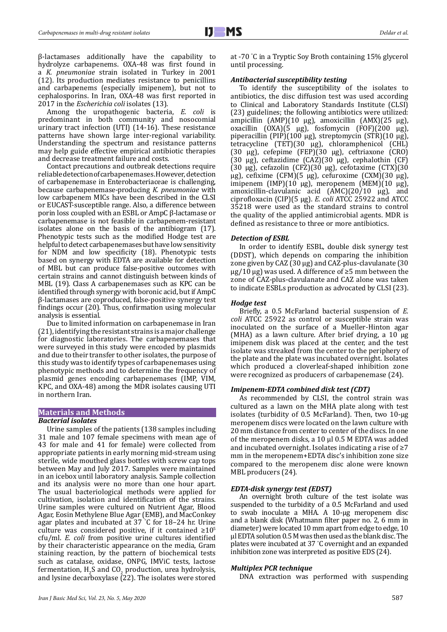β-lactamases additionally have the capability to hydrolyze carbapenems. OXA-48 was first found in a *K. pneumoniae* strain isolated in Turkey in 2001 (12). Its production mediates resistance to penicillins and carbapenems (especially imipenem), but not to cephalosporins. In Iran, OXA-48 was first reported in 2017 in the *Escherichia coli* isolates (13).

Among the uropathogenic bacteria, *E. coli* is predominant in both community and nosocomial urinary tract infection (UTI) (14-16). These resistance patterns have shown large inter-regional variability. Understanding the spectrum and resistance patterns may help guide effective empirical antibiotic therapies and decrease treatment failure and costs.

Contact precautions and outbreak detections require reliable detection of carbapenemases. However, detection of carbapenemase in Enterobacteriaceae is challenging, because carbapenemase-producing *K. pneumoniae* with low carbapenem MICs have been described in the CLSI or EUCAST-susceptible range. Also, a difference between porin loss coupled with an ESBL or AmpC β-lactamase or carbapenemase is not feasible in carbapenem-resistant isolates alone on the basis of the antibiogram (17). Phenotypic tests such as the modified Hodge test are helpful to detect carbapenemases but have low sensitivity for NDM and low specificity (18). Phenotypic tests based on synergy with EDTA are available for detection of MBL but can produce false-positive outcomes with certain strains and cannot distinguish between kinds of MBL (19). Class A carbapenemases such as KPC can be identified through synergy with boronic acid, but if AmpC β-lactamases are coproduced, false-positive synergy test findings occur (20). Thus, confirmation using molecular analysis is essential.

Due to limited information on carbapenemase in Iran (21), identifying the resistant strains is a major challenge for diagnostic laboratories. The carbapenemases that were surveyed in this study were encoded by plasmids and due to their transfer to other isolates, the purpose of this study was to identify types of carbapenemases using phenotypic methods and to determine the frequency of plasmid genes encoding carbapenemases (IMP, VIM, KPC, and OXA-48) among the MDR isolates causing UTI in northern Iran.

# **Materials and Methods**

# *Bacterial isolates*

Urine samples of the patients (138 samples including 31 male and 107 female specimens with mean age of 43 for male and 41 for female) were collected from appropriate patients in early morning mid-stream using sterile, wide mouthed glass bottles with screw cap tops between May and July 2017. Samples were maintained in an icebox until laboratory analysis. Sample collection and its analysis were no more than one hour apart. The usual bacteriological methods were applied for cultivation, isolation and identification of the strains. Urine samples were cultured on Nutrient Agar, Blood Agar, Eosin Methylene Blue Agar (EMB), and MacConkey agar plates and incubated at 37 ° C for 18–24 hr. Urine culture was considered positive, if it contained  $\geq 10^5$ cfu/ml. *E. coli* from positive urine cultures identified by their characteristic appearance on the media, Gram staining reaction, by the pattern of biochemical tests such as catalase, oxidase, ONPG, IMViC tests, lactose fermentation,  $H_2$ S and CO<sub>2</sub> production, urea hydrolysis, and lysine decarboxylase (22). The isolates were stored

at -70 ° C in a Tryptic Soy Broth containing 15% glycerol until processing.

# *Antibacterial susceptibility testing*

To identify the susceptibility of the isolates to antibiotics, the disc diffusion test was used according to Clinical and Laboratory Standards Institute (CLSI) (23) guidelines; the following antibiotics were utilized: ampicillin (AMP)(10 μg), amoxicillin (AMX)(25 μg), oxacillin (OXA)(5 μg), fosfomycin (FOF)(200 μg), piperacillin (PIP)(100 μg), streptomycin (STR)(10 μg), tetracycline (TET)(30 μg), chloramphenicol (CHL) (30 μg), cefepime (FEP)(30 μg), ceftriaxone (CRO) (30 μg), ceftazidime (CAZ)(30 μg), cephalothin (CF) (30 μg), cefazolin (CFZ)(30 μg), cefotaxime (CTX)(30 μg), cefixime (CFM)(5 μg), cefuroxime (CXM)(30 μg), imipenem (IMP)(10 μg), meropenem (MEM)(10 μg), amoxicillin-clavulanic acid (AMC)(20/10 μg), and ciprofloxacin (CIP)(5 μg). *E. coli* ATCC 25922 and ATCC 35218 were used as the standard strains to control the quality of the applied antimicrobial agents. MDR is defined as resistance to three or more antibiotics.

## *Detection of ESBL*

In order to identify ESBL, double disk synergy test (DDST), which depends on comparing the inhibition zone given by CAZ (30 µg) and CAZ-plus-clavulanate (30  $\mu$ g/10  $\mu$ g) was used. A difference of ≥5 mm between the zone of CAZ-plus-clavulanate and CAZ alone was taken to indicate ESBLs production as advocated by CLSI (23).

## *Hodge test*

Briefly, a 0.5 McFarland bacterial suspension of *E. coli* ATCC 25922 as control or susceptible strain was inoculated on the surface of a Mueller-Hinton agar (MHA) as a lawn culture. After brief drying, a 10 µg imipenem disk was placed at the center, and the test isolate was streaked from the center to the periphery of the plate and the plate was incubated overnight. Isolates which produced a cloverleaf-shaped inhibition zone were recognized as producers of carbapenemase (24).

# *Imipenem-EDTA combined disk test (CDT)*

As recommended by CLSI, the control strain was cultured as a lawn on the MHA plate along with test isolates (turbidity of 0.5 McFarland). Then, two 10-μg meropenem discs were located on the lawn culture with 20 mm distance from center to center of the discs. In one of the meropenem disks, a 10 μl 0.5 M EDTA was added and incubated overnight. Isolates indicating a rise of ≥7 mm in the meropenem+EDTA disc's inhibition zone size compared to the meropenem disc alone were known MBL producers (24).

# *EDTA-disk synergy test (EDST)*

An overnight broth culture of the test isolate was suspended to the turbidity of a 0.5 McFarland and used to swab inoculate a MHA. A 10-μg meropenem disc and a blank disk (Whatmann filter paper no. 2, 6 mm in diameter) were located 10 mm apart from edge to edge, 10 μl EDTA solution 0.5 M was then used as the blank disc. The plates were incubated at 37 ° C overnight and an expanded inhibition zone was interpreted as positive EDS (24).

# *Multiplex PCR technique*

DNA extraction was performed with suspending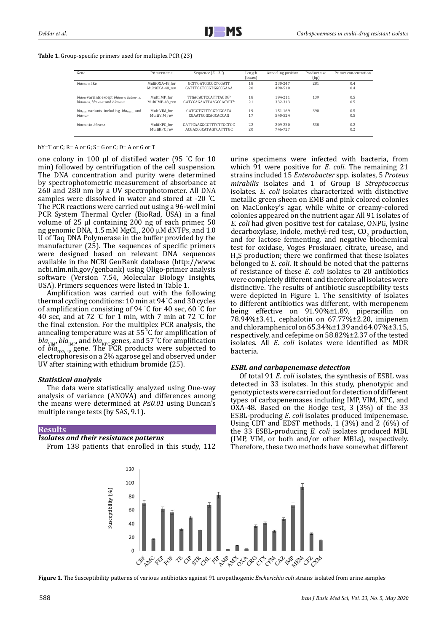## **Table 1.** Group-specific primers used for multiplex PCR (23)

| Gene                                                  | Primer name     | Sequence $(5' - 3')$       | Length<br>(bases) | Annealing position | Product size<br>(bp) | Primer concentration |
|-------------------------------------------------------|-----------------|----------------------------|-------------------|--------------------|----------------------|----------------------|
| blaoxa-as like                                        | MultiOXA-48 for | GCTTGATCGCCCTCGATT         | 18                | 230-247            | 281                  | 0.4                  |
|                                                       | MultiOXA-48 rev | GATTTGCTCCGTGGCCGAAA       | 20                | 490-510            |                      | 0.4                  |
| blaimp variants except blaimp-9, blaimp-16,           | MultiIMP for    | <b>TTGACACTCCATTTACDGb</b> | 18                | 194-211            | 139                  | 0.5                  |
| $bla18$ , $bla18$ , $bla18$ , $22$ and $bla18$ , $25$ | MultiIMP-48 rev | GATYGAGAATTAAGCCACYCTb     | 21                | 332-313            |                      | 0.5                  |
| blay wariants including blayw <sub>1</sub> and        | MultiVIM for    | GATGGTGTTTGGTCGCATA        | 19                | 151-169            | 390                  | 0.5                  |
| $blawm-2$                                             | MultiVIM rev    | CGAATGCGCAGCACCAG          | 17                | 540-524            |                      | 0.5                  |
| $blaxpc-1$ to $blaxpc-5$                              | MultiKPC for    | CATTCAAGGGCTTTCTTGCTGC     | 22                | 209-230            | 538                  | 0.2                  |
|                                                       | MultiKPC rev    | ACGACGGCATAGTCATTTGC       | 20                | 746-727            |                      | 0.2                  |

#### $bY=T$  or C;  $R= A$  or G;  $S= G$  or C;  $D= A$  or G or T

one colony in 100 µl of distilled water (95 ° C for 10 min) followed by centrifugation of the cell suspension. The DNA concentration and purity were determined by spectrophotometric measurement of absorbance at 260 and 280 nm by a UV spectrophotometer. All DNA samples were dissolved in water and stored at -20 ° C. The PCR reactions were carried out using a 96-well mini PCR System Thermal Cycler (BioRad, USA) in a final volume of 25 µl containing 200 ng of each primer, 50 ng genomic DNA, 1.5 mM MgCl<sub>2</sub>, 200  $\mu$ M dNTPs, and 1.0 U of Taq DNA Polymerase in the buffer provided by the manufacturer (25). The sequences of specific primers were designed based on relevant DNA sequences available in the NCBI GenBank database (http://www. ncbi.nlm.nih.gov/genbank) using Oligo-primer analysis software (Version 7.54, Molecular Biology Insights, USA). Primers sequences were listed in Table 1.

Amplification was carried out with the following thermal cycling conditions: 10 min at 94 ° C and 30 cycles of amplification consisting of 94 ° C for 40 sec, 60 ° C for 40 sec, and at 72 ° C for 1 min, with 7 min at 72 ° C for the final extension. For the multiplex PCR analysis, the annealing temperature was at  $55^{\circ}$ C for amplification of annealing temperature was at 55 ° C for amplification of  $bla_{\text{VIM}}$ ,  $bla_{\text{IMP}}$ , and  $bla_{\text{KPC}}$  genes, and 57 °C for amplification of  $bla_{\alpha_{X_{A+48}}}$  gene. The PCR products were subjected to electrophoresis on a 2% agarose gel and observed under UV after staining with ethidium bromide (25).

#### *Statistical analysis*

The data were statistically analyzed using One-way analysis of variance (ANOVA) and differences among the means were determined at *P≤0.01* using Duncan's multiple range tests (by SAS, 9.1).

## **Results**

# *Isolates and their resistance patterns*

From 138 patients that enrolled in this study, 112

urine specimens were infected with bacteria, from which 91 were positive for *E. coli*. The remaining 21 strains included 15 *Enterobacter* spp. isolates, 5 *Proteus mirabilis* isolates and 1 of Group B *Streptococcus* isolates. *E. coli* isolates characterized with distinctive metallic green sheen on EMB and pink colored colonies on MacConkey's agar, while white or creamy-colored colonies appeared on the nutrient agar. All 91 isolates of *E. coli* had given positive test for catalase, ONPG, lysine decarboxylase, indole, methyl-red test,  $CO<sub>2</sub>$  production, and for lactose fermenting, and negative biochemical test for oxidase, Voges Proskuaer, citrate, urease, and  $H_2$ S production; there we confirmed that these isolates belonged to *E. coli*. It should be noted that the patterns of resistance of these *E. coli* isolates to 20 antibiotics were completely different and therefore all isolates were distinctive. The results of antibiotic susceptibility tests were depicted in Figure 1. The sensitivity of isolates to different antibiotics was different, with meropenem being effective on 91.90%±1.89, piperacillin on 78.94%±3.41, cephalotin on 67.77%±2.20, imipenem and chloramphenicol on 65.34%±1.39 and 64.07%±3.15, respectively, and cefepime on 58.82%±2.37 of the tested isolates. All *E. coli* isolates were identified as MDR bacteria.

## *ESBL and carbapenemase detection*

Of total 91 *E. coli* isolates, the synthesis of ESBL was detected in 33 isolates. In this study, phenotypic and genotypic tests were carried out for detection of different types of carbapenemases including IMP, VIM, KPC, and OXA-48. Based on the Hodge test, 3 (3%) of the 33 ESBL-producing *E. coli* isolates produced imipenemase. Using CDT and EDST methods, 1 (3%) and 2 (6%) of the 33 ESBL-producing *E. coli* isolates produced MBL (IMP, VIM, or both and/or other MBLs), respectively. Therefore, these two methods have somewhat different



**Figure 1.** The Susceptibility patterns of various antibiotics against 91 uropathogenic *Escherichia coli* strains isolated from urine samples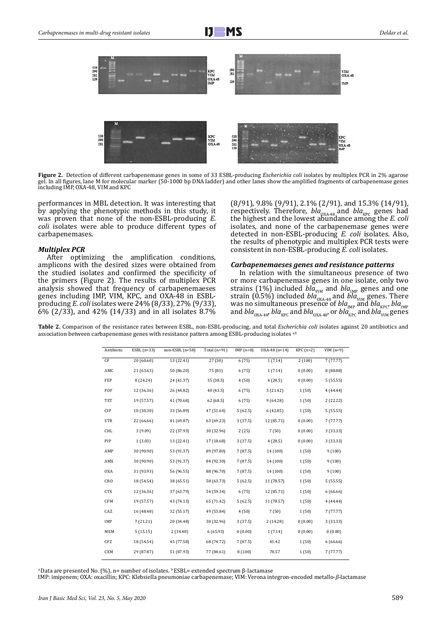

**Figure 2.** Detection of different carbapenemase genes in some of 33 ESBL-producing *Escherichia coli* isolates by multiplex PCR in 2% agarose gel. In all figures, lane M for molecular marker (50-1000 bp DNA ladder) and other lanes show the amplified fragments of carbapenemase genes including IMP, OXA-48, VIM and KPC

performances in MBL detection. It was interesting that by applying the phenotypic methods in this study, it was proven that none of the non-ESBL-producing *E. coli* isolates were able to produce different types of carbapenemases.

## *Multiplex PCR*

After optimizing the amplification conditions, amplicons with the desired sizes were obtained from the studied isolates and confirmed the specificity of the primers (Figure 2). The results of multiplex PCR analysis showed that frequency of carbapenemaeses genes including IMP, VIM, KPC, and OXA-48 in ESBLproducing *E. coli* isolates were 24% (8/33), 27% (9/33), 6% (2/33), and 42% (14/33) and in all isolates 8.7% (8/91), 9.8% (9/91), 2.1% (2/91), and 15.3% (14/91), respectively. Therefore,  $bla_{\alpha_{\text{NA-48}}}$  and  $bla_{\text{KPC}}$  genes had the highest and the lowest abundance among the *E. coli* isolates, and none of the carbapenemase genes were detected in non-ESBL-producing *E. coli* isolates. Also, the results of phenotypic and multiplex PCR tests were consistent in non-ESBL-producing *E. coli* isolates.

## *Carbapenemaeses genes and resistance patterns*

In relation with the simultaneous presence of two or more carbapenemase genes in one isolate, only two strains (1%) included *bla*<sub>VIM</sub> and *bla*<sub>IMP</sub> genes and one strain  $(0.5\%)$  included *bla*<sup>003</sup><sub>0XA-48</sub> and *bla*<sub>VIM</sub> genes. There was no simultaneous presence of *bla<sub>IMP</sub> and bla<sub>KPC</sub>, bla<sub>IMP</sub>*<br>and *bla<sub>oxA-48</sub>, bla<sub>kPC</sub> and bla<sub>oxA-48</sub>, or <i>bla<sub>KPC</sub>* and *bla<sub>vIM</sub> genes* 

**Table 2.** Comparison of the resistance rates between ESBL, non-ESBL-producing, and total *Escherichia coli* isolates against 20 antibiotics and association between carbapenemase genes with resistance pattern among ESBL-producing isolates a,b

| CF<br>20 (60.60)<br>13 (22.41)<br>27 (30)<br>6(75)<br>1(7.14)<br>2(100)<br>7(77.77)<br>AMC<br>21 (63.63)<br>50 (86.20)<br>75 (83)<br>6(75)<br>1(7.14)<br>0(0.00)<br>8 (88.88)<br>FEP<br>35 (38.5)<br>4(28.5)<br>0(0.00)<br>8 (24.24)<br>24 (41.37)<br>4(50)<br>5(55.55)<br>FOF<br>12 (36.36)<br>26 (44.82)<br>40 (43.5)<br>6(75)<br>3(21.42)<br>1(50)<br>4(44.44)<br>TET<br>19 (57.57)<br>41 (70.68)<br>62 (68.5)<br>6(75)<br>9(64.28)<br>1(50)<br>2(22.22)<br>CIP<br>10 (30.30)<br>47 (51.64)<br>5(62.5)<br>6(42.85)<br>1(50)<br>5(55.55)<br>33 (56.89)<br><b>STR</b><br>22 (66.66)<br>63 (69.23)<br>12 (85.71)<br>0(0.00)<br>41 (69.87)<br>3(37.5)<br>7(77.77)<br>CHL<br>3(9.09)<br>2(25)<br>7(50)<br>0(0.00)<br>22 (37.93)<br>30 (32.96)<br>3 (33.33)<br>PIP<br>1(3.03)<br>4(28.5)<br>0(0.00)<br>13 (22.41)<br>17 (18.68)<br>3(37.5)<br>3 (33.33)<br>AMP<br>30 (90.90)<br>89 (97.80)<br>14 (100)<br>1(50)<br>9(100)<br>53 (91.37)<br>7(87.5)<br>AMX<br>30 (90.90)<br>84 (92.30)<br>9(100)<br>53 (91.37)<br>7(87.5)<br>14 (100)<br>1(50)<br><b>OXA</b><br>56 (96.55)<br>88 (96.70)<br>1(50)<br>31 (93.93)<br>7(87.5)<br>14 (100)<br>9(100)<br><b>CRO</b><br>38 (65.51)<br>1(50)<br>18 (54.54)<br>58 (63.73)<br>5(62.5)<br>11 (78.57)<br>5(55.55) | Antibiotic | $ESBL(n=33)$ | $non-ESBL(n=58)$ | Total $(n=91)$ | $IMP(n=8)$ | $OXA-48(n=14)$ | $KPC(n=2)$ | $VIM(n=9)$ |
|----------------------------------------------------------------------------------------------------------------------------------------------------------------------------------------------------------------------------------------------------------------------------------------------------------------------------------------------------------------------------------------------------------------------------------------------------------------------------------------------------------------------------------------------------------------------------------------------------------------------------------------------------------------------------------------------------------------------------------------------------------------------------------------------------------------------------------------------------------------------------------------------------------------------------------------------------------------------------------------------------------------------------------------------------------------------------------------------------------------------------------------------------------------------------------------------------------------------------------------------------|------------|--------------|------------------|----------------|------------|----------------|------------|------------|
|                                                                                                                                                                                                                                                                                                                                                                                                                                                                                                                                                                                                                                                                                                                                                                                                                                                                                                                                                                                                                                                                                                                                                                                                                                                    |            |              |                  |                |            |                |            |            |
|                                                                                                                                                                                                                                                                                                                                                                                                                                                                                                                                                                                                                                                                                                                                                                                                                                                                                                                                                                                                                                                                                                                                                                                                                                                    |            |              |                  |                |            |                |            |            |
|                                                                                                                                                                                                                                                                                                                                                                                                                                                                                                                                                                                                                                                                                                                                                                                                                                                                                                                                                                                                                                                                                                                                                                                                                                                    |            |              |                  |                |            |                |            |            |
|                                                                                                                                                                                                                                                                                                                                                                                                                                                                                                                                                                                                                                                                                                                                                                                                                                                                                                                                                                                                                                                                                                                                                                                                                                                    |            |              |                  |                |            |                |            |            |
|                                                                                                                                                                                                                                                                                                                                                                                                                                                                                                                                                                                                                                                                                                                                                                                                                                                                                                                                                                                                                                                                                                                                                                                                                                                    |            |              |                  |                |            |                |            |            |
|                                                                                                                                                                                                                                                                                                                                                                                                                                                                                                                                                                                                                                                                                                                                                                                                                                                                                                                                                                                                                                                                                                                                                                                                                                                    |            |              |                  |                |            |                |            |            |
|                                                                                                                                                                                                                                                                                                                                                                                                                                                                                                                                                                                                                                                                                                                                                                                                                                                                                                                                                                                                                                                                                                                                                                                                                                                    |            |              |                  |                |            |                |            |            |
|                                                                                                                                                                                                                                                                                                                                                                                                                                                                                                                                                                                                                                                                                                                                                                                                                                                                                                                                                                                                                                                                                                                                                                                                                                                    |            |              |                  |                |            |                |            |            |
|                                                                                                                                                                                                                                                                                                                                                                                                                                                                                                                                                                                                                                                                                                                                                                                                                                                                                                                                                                                                                                                                                                                                                                                                                                                    |            |              |                  |                |            |                |            |            |
|                                                                                                                                                                                                                                                                                                                                                                                                                                                                                                                                                                                                                                                                                                                                                                                                                                                                                                                                                                                                                                                                                                                                                                                                                                                    |            |              |                  |                |            |                |            |            |
|                                                                                                                                                                                                                                                                                                                                                                                                                                                                                                                                                                                                                                                                                                                                                                                                                                                                                                                                                                                                                                                                                                                                                                                                                                                    |            |              |                  |                |            |                |            |            |
|                                                                                                                                                                                                                                                                                                                                                                                                                                                                                                                                                                                                                                                                                                                                                                                                                                                                                                                                                                                                                                                                                                                                                                                                                                                    |            |              |                  |                |            |                |            |            |
|                                                                                                                                                                                                                                                                                                                                                                                                                                                                                                                                                                                                                                                                                                                                                                                                                                                                                                                                                                                                                                                                                                                                                                                                                                                    |            |              |                  |                |            |                |            |            |
| <b>CTX</b><br>12 (36.36)<br>37 (63.79)<br>54 (59.34)<br>6(75)<br>12 (85.71)<br>1(50)<br>6(66.66)                                                                                                                                                                                                                                                                                                                                                                                                                                                                                                                                                                                                                                                                                                                                                                                                                                                                                                                                                                                                                                                                                                                                                   |            |              |                  |                |            |                |            |            |
| <b>CFM</b><br>65 (71.42)<br>5(62.5)<br>19 (57.57)<br>43 (74.13)<br>11 (78.57)<br>1(50)<br>4(44.44)                                                                                                                                                                                                                                                                                                                                                                                                                                                                                                                                                                                                                                                                                                                                                                                                                                                                                                                                                                                                                                                                                                                                                 |            |              |                  |                |            |                |            |            |
| CAZ<br>16 (48.48)<br>32 (55.17)<br>49 (53.84)<br>4(50)<br>7(50)<br>1(50)<br>7(77.77)                                                                                                                                                                                                                                                                                                                                                                                                                                                                                                                                                                                                                                                                                                                                                                                                                                                                                                                                                                                                                                                                                                                                                               |            |              |                  |                |            |                |            |            |
| IMP<br>7(21.21)<br>20 (34.48)<br>30 (32.96)<br>3(37.5)<br>0(0.00)<br>3 (33.33)<br>2(14.28)                                                                                                                                                                                                                                                                                                                                                                                                                                                                                                                                                                                                                                                                                                                                                                                                                                                                                                                                                                                                                                                                                                                                                         |            |              |                  |                |            |                |            |            |
| MEM<br>6(65.93)<br>1(7.14)<br>0(0.00)<br>0(0.00)<br>5(15.15)<br>2(34.48)<br>0(0.00)                                                                                                                                                                                                                                                                                                                                                                                                                                                                                                                                                                                                                                                                                                                                                                                                                                                                                                                                                                                                                                                                                                                                                                |            |              |                  |                |            |                |            |            |
| CFZ<br>18 (54.54)<br>68 (74.72)<br>7(87.5)<br>41.42<br>1(50)<br>45 (77.58)<br>6(66.66)                                                                                                                                                                                                                                                                                                                                                                                                                                                                                                                                                                                                                                                                                                                                                                                                                                                                                                                                                                                                                                                                                                                                                             |            |              |                  |                |            |                |            |            |
| <b>CXM</b><br>51 (87.93)<br>8(100)<br>78.57<br>1(50)<br>29 (87.87)<br>77 (84.61)<br>7(77.77)                                                                                                                                                                                                                                                                                                                                                                                                                                                                                                                                                                                                                                                                                                                                                                                                                                                                                                                                                                                                                                                                                                                                                       |            |              |                  |                |            |                |            |            |

<sup>a</sup>Data are presented No. (%), n= number of isolates. <sup>b</sup>ESBL= extended spectrum β-lactamase

IMP: imipenem; OXA: oxacillin; KPC: Klebsiella pneumoniae carbapenemase; VIM: Verona integron-encoded metallo-*β*-lactamase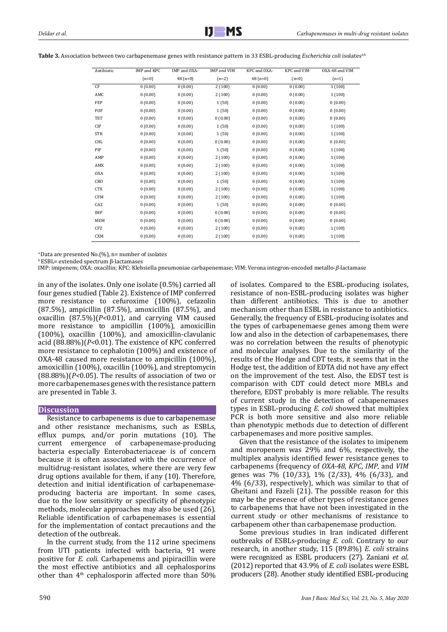| Antibiotic | <b>IMP</b> and KPC | IMP and OXA- | IMP and VIM | KPC and OXA- | KPC and VIM | OXA-48 and VIM |
|------------|--------------------|--------------|-------------|--------------|-------------|----------------|
|            | $(n=0)$            | $48(n=0)$    | $(n=2)$     | $48(n=0)$    | $(n=0)$     | $(n=1)$        |
| CF         | 0(0.00)            | 0(0.00)      | 2(100)      | 0(0.00)      | 0(0.00)     | 1(100)         |
| AMC        | 0(0.00)            | 0(0.00)      | 2(100)      | 0(0.00)      | 0(0.00)     | 1(100)         |
| FEP        | 0(0.00)            | 0(0.00)      | 1(50)       | 0(0.00)      | 0(0.00)     | 0(0.00)        |
| FOF        | 0(0.00)            | 0(0.00)      | 1(50)       | 0(0.00)      | 0(0.00)     | 0(0.00)        |
| TET        | 0(0.00)            | 0(0.00)      | 0(0.00)     | 0(0.00)      | 0(0.00)     | 0(0.00)        |
| <b>CIP</b> | 0(0.00)            | 0(0.00)      | 1(50)       | 0(0.00)      | 0(0.00)     | 1(100)         |
| <b>STR</b> | 0(0.00)            | 0(0.00)      | 1(50)       | 0(0.00)      | 0(0.00)     | 1(100)         |
| CHL        | 0(0.00)            | 0(0.00)      | 0(0.00)     | 0(0.00)      | 0(0.00)     | 0(0.00)        |
| PIP        | 0(0.00)            | 0(0.00)      | 1(50)       | 0(0.00)      | 0(0.00)     | 1(100)         |
| AMP        | 0(0.00)            | 0(0.00)      | 2(100)      | 0(0.00)      | 0(0.00)     | 1(100)         |
| AMX        | 0(0.00)            | 0(0.00)      | 2(100)      | 0(0.00)      | 0(0.00)     | 1(100)         |
| <b>OXA</b> | 0(0.00)            | 0(0.00)      | 2(100)      | 0(0.00)      | 0(0.00)     | 1(100)         |
| CRO        | 0(0.00)            | 0(0.00)      | 1(50)       | 0(0.00)      | 0(0.00)     | 1(100)         |
| <b>CTX</b> | 0(0.00)            | 0(0.00)      | 2(100)      | 0(0.00)      | 0(0.00)     | 1(100)         |
| <b>CFM</b> | 0(0.00)            | 0(0.00)      | 2(100)      | 0(0.00)      | 0(0.00)     | 1(100)         |
| CAZ        | 0(0.00)            | 0(0.00)      | 1(50)       | 0(0.00)      | 0(0.00)     | 0(0.00)        |
| IMP        | 0(0.00)            | 0(0.00)      | 0(0.00)     | 0(0.00)      | 0(0.00)     | 0(0.00)        |
| <b>MEM</b> | 0(0.00)            | 0(0.00)      | 0(0.00)     | 0(0.00)      | 0(0.00)     | 0(0.00)        |
| CFZ        | 0(0.00)            | 0(0.00)      | 2(100)      | 0(0.00)      | 0(0.00)     | 1(100)         |
| <b>CXM</b> | 0(0.00)            | 0(0.00)      | 2(100)      | 0(0.00)      | 0(0.00)     | 1(100)         |

Table 3. Association between two carbapenemase genes with resistance pattern in 33 ESBL-producing *Escherichia coli* isolates<sup>a,b</sup>

a Data are presented No.(%), n= number of isolates

<sup>b</sup>ESBL= extended spectrum β-lactamases

IMP: imipenem; OXA: oxacillin; KPC: Klebsiella pneumoniae carbapenemase; VIM: Verona integron-encoded metallo-*β*-lactamase

in any of the isolates. Only one isolate (0.5%) carried all four genes studied (Table 2). Existence of IMP conferred more resistance to cefuroxime (100%), cefazolin (87.5%), ampicillin (87.5%), amoxicillin (87.5%), and oxacillin (87.5%)(*P<*0.01), and carrying VIM caused more resistance to ampicillin (100%), amoxicillin (100%), oxacillin (100%), and amoxicillin-clavulanic acid (88.88%)(*P<*0.01). The existence of KPC conferred more resistance to cephalotin (100%) and existence of OXA-48 caused more resistance to ampicillin (100%), amoxicillin (100%), oxacillin (100%), and streptomycin (88.88%)(*P<*0.05). The results of association of two or more carbapenemases genes with the resistance pattern are presented in Table 3.

# **Discussion**

Resistance to carbapenems is due to carbapenemase and other resistance mechanisms, such as ESBLs, efflux pumps, and/or porin mutations (10). The current emergence of carbapenemase-producing bacteria especially Enterobacteriaceae is of concern because it is often associated with the occurrence of multidrug-resistant isolates, where there are very few drug options available for them, if any (10). Therefore, detection and initial identification of carbapenemaseproducing bacteria are important. In some cases, due to the low sensitivity or specificity of phenotypic methods, molecular approaches may also be used (26). Reliable identification of carbapenemases is essential for the implementation of contact precautions and the detection of the outbreak.

In the current study, from the 112 urine specimens from UTI patients infected with bacteria, 91 were positive for *E. coli*. Carbapenems and pipiracillin were the most effective antibiotics and all cephalosporins other than 4<sup>th</sup> cephalosporin affected more than 50% of isolates. Compared to the ESBL-producing isolates, resistance of non-ESBL-producing isolates was higher than different antibiotics. This is due to another mechanism other than ESBL in resistance to antibiotics. Generally, the frequency of ESBL-producing isolates and the types of carbapenemaese genes among them were low and also in the detection of carbapenemases, there was no correlation between the results of phenotypic and molecular analyses. Due to the similarity of the results of the Hodge and CDT tests, it seems that in the Hodge test, the addition of EDTA did not have any effect on the improvement of the test. Also, the EDST test is comparison with CDT could detect more MBLs and therefore, EDST probably is more reliable. The results of current study in the detection of cabapenemases types in ESBL-producing *E. coli* showed that multiplex PCR is both more sensitive and also more reliable than phenotypic methods due to detection of different carbapenemases and more positive samples.

Given that the resistance of the isolates to imipenem and moropenem was 29% and 6%, respectively, the multiplex analysis identified fewer resistance genes to carbapenems (frequency of *OXA-48*, *KPC*, *IMP*, and *VIM* genes was 7% (10/33), 1% (2/33), 4% (6/33), and 4% (6/33), respectively), which was similar to that of Gheitani and Fazeli (21). The possible reason for this may be the presence of other types of resistance genes to carbapenems that have not been investigated in the current study or other mechanisms of resistance to carbapenem other than carbapenemase production.

Some previous studies in Iran indicated different outbreaks of ESBLs-producing *E. coli*. Contrary to our research, in another study, 115 (89.8%) *E. coli* strains were recognized as ESBL producers (27). Zaniani *et al*. (2012) reported that 43.9% of *E. coli* isolates were ESBL producers (28). Another study identified ESBL-producing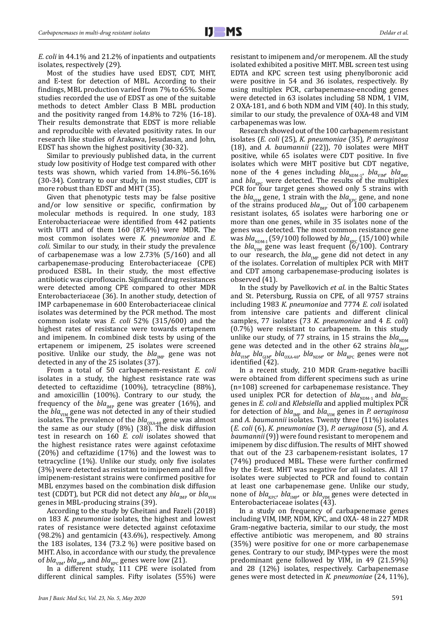*E. coli* in 44.1% and 21.2% of inpatients and outpatients isolates, respectively (29).

Most of the studies have used EDST, CDT, MHT, and E-test for detection of MBL. According to their findings, MBL production varied from 7% to 65%. Some studies recorded the use of EDST as one of the suitable methods to detect Ambler Class B MBL production and the positivity ranged from 14.8% to 72% (16-18). Their results demonstrate that EDST is more reliable and reproducible with elevated positivity rates. In our research like studies of Arakawa, Jesudasan, and John, EDST has shown the highest positivity (30-32).

Similar to previously published data, in the current study low positivity of Hodge test compared with other tests was shown, which varied from 14.8%–56.16% (30-34). Contrary to our study, in most studies, CDT is more robust than EDST and MHT (35).

Given that phenotypic tests may be false positive and/or low sensitive or specific, confirmation by molecular methods is required. In one study, 183 Enterobacteriaceae were identified from 442 patients with UTI and of them 160 (87.4%) were MDR. The most common isolates were *K. pneumoniae* and *E. coli.* Similar to our study, in their study the prevalence of carbapenemase was a low 2.73% (5/160) and all carbapenemase-producing Enterobacteriaceae (CPE) produced ESBL. In their study, the most effective antibiotic was ciprofloxacin. Significant drug resistances were detected among CPE compared to other MDR Enterobacteriaceae (36). In another study, detection of IMP carbapenemase in 600 Enterobacteriaceae clinical isolates was determined by the PCR method. The most common isolate was *E. coli* 52% (315/600) and the highest rates of resistance were towards ertapenem and imipenem. In combined disk tests by using of the ertapenem or imipenem, 25 isolates were screened positive. Unlike our study, the *bla<sub>IMP</sub>* gene was not detected in any of the 25 isolates (37).

From a total of 50 carbapenem-resistant *E. coli* isolates in a study, the highest resistance rate was detected to ceftazidime (100%), tetracycline (88%), and amoxicillin (100%). Contrary to our study, the frequency of the  $bla_{\text{IMP}}$  gene was greater (16%), and the *bla<sub>vIM</sub>* gene was not detected in any of their studied isolates. The prevalence of the *bla*<sub>OXA-48</sub> gene was almost the same as our study (8%) (38). The disk diffusion test in research on 160 *E. coli* isolates showed that the highest resistance rates were against cefotaxime (20%) and ceftazidime (17%) and the lowest was to tetracycline (1%). Unlike our study, only five isolates (3%) were detected as resistant to imipenem and all five imipenem-resistant strains were confirmed positive for MBL enzymes based on the combination disk diffusion test (CDDT), but PCR did not detect any *bla<sub>VIM</sub>* or *bla*<sub>VIM</sub> genes in MBL-producing strains (39).

According to the study by Gheitani and Fazeli (2018) on 183 *K. pneumoniae* isolates, the highest and lowest rates of resistance were detected against cefotaxime (98.2%) and gentamicin (43.6%), respectively. Among the 183 isolates, 134 (73.2 %) were positive based on MHT. Also, in accordance with our study, the prevalence of *bla*<sub>VIM</sub>, *bla*<sub>IMP</sub>, and *bla*<sub>KPC</sub> genes were low (21).

In a different study, 111 CPE were isolated from different clinical samples. Fifty isolates (55%) were resistant to imipenem and/or meropenem. All the study isolated exhibited a positive MHT. MBL screen test using EDTA and KPC screen test using phenylboronic acid were positive in 54 and 36 isolates, respectively. By using multiplex PCR, carbapenemase-encoding genes were detected in 63 isolates including 58 NDM, 1 VIM, 2 OXA-181, and 6 both NDM and VIM (40). In this study, similar to our study, the prevalence of OXA-48 and VIM carbapenemas was low.

Research showed out of the 100 carbapenem resistant isolates (*E. coli* (25), *K. pneumoniae* (35), *P. aeruginosa* (18), and *A. baumannii* (22)), 70 isolates were MHT positive, while 65 isolates were CDT positive. In five isolates which were MHT positive but CDT negative, none of the 4 genes including  $bla_{NDM-1}$ ,  $bla_{VIM}$ ,  $bla_{MMP}$ and  $bla_{KPC}$  were detected. The results of the multiplex PCR for four target genes showed only 5 strains with the  $bla_{VIM}$  gene, 1 strain with the  $bla_{KPC}$  gene, and none of the strains produced  $bla_{\text{IMP}}$  Out of 100 carbapenem resistant isolates, 65 isolates were harboring one or more than one genes, while in 35 isolates none of the genes was detected. The most common resistance gene was  $bla_{NDM-1}$  (59/100) followed by  $bla_{KPC}$  (15/100) while the *bla*<sub>VIM</sub> gene was least frequent  $(6/100)$ . Contrary to our research, the  $bla_{MP}$  gene did not detect in any of the isolates. Correlation of multiplex PCR with MHT and CDT among carbapenemase-producing isolates is observed (41).

In the study by Pavelkovich *et al*. in the Baltic States and St. Petersburg, Russia on CPE, of all 9757 strains including 1983 *K. pneumoniae* and 7774 *E. coli* isolated from intensive care patients and different clinical samples, 77 isolates (73 *K. pneumoniae* and 4 *E. coli*) (0.7%) were resistant to carbapenem. In this study unlike our study, of 77 strains, in 15 strains the  $bla_{NDM}$ gene was detected and in the other 62 strains  $bla_{\text{MP}}$  $bla_{VIM}$ ,  $bla_{GIM}$ ,  $bla_{OXA-48}$ ,  $bla_{NDM}$ , or  $bla_{KPC}$  genes were not identified  $(42)$ .

In a recent study, 210 MDR Gram-negative bacilli were obtained from different specimens such as urine (n=108) screened for carbapenemase resistance. They used uniplex PCR for detection of  $bla_{NDM-1}$  and  $bla_{p}$ genes in *E. coli* and *Klebsiella* and applied multiplex PCR for detection of *bla<sub>IMP</sub>* and *bla<sub>VIM</sub>* genes in *P. aeruginosa* and *A. baumannii* isolates. Twenty three (11%) isolates (*E. coli* (6), *K. pneumoniae* (3), *P. aeruginosa* (5), and *A. baumannii* (9)) were found resistant to meropenem and imipenem by disc diffusion. The results of MHT showed that out of the 23 carbapenem-resistant isolates, 17 (74%) produced MBL. These were further confirmed by the E-test. MHT was negative for all isolates. All 17 isolates were subjected to PCR and found to contain at least one carbapenemase gene. Unlike our study, none of *bla<sub>kPC</sub>*, *bla<sub>IMP</sub>*, or *bla<sub>VIM</sub>* genes were detected in Enterobacteriaceae isolates (43).

In a study on frequency of carbapenemase genes including VIM, IMP, NDM, KPC, and OXA- 48 in 227 MDR Gram-negative bacteria, similar to our study, the most effective antibiotic was meropenem, and 80 strains (35%) were positive for one or more carbapenemase genes. Contrary to our study, IMP-types were the most predominant gene followed by VIM, in 49 (21.59%) and 28 (12%) isolates, respectively. Carbapenemase genes were most detected in *K. pneumoniae* (24, 11%),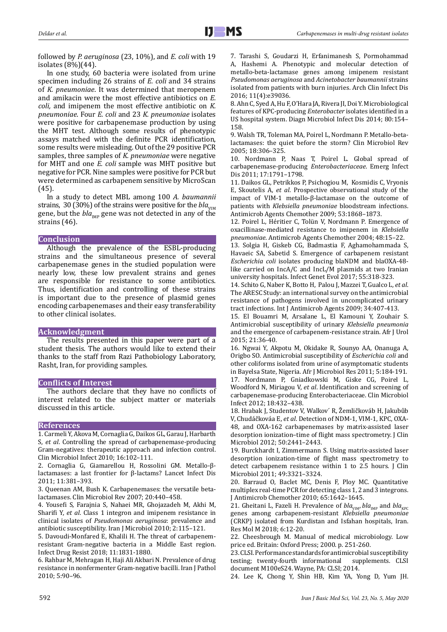followed by *P. aeruginosa* (23, 10%), and *E. coli* with 19 isolates (8%)(44).

In one study, 60 bacteria were isolated from urine specimen including 26 strains of *E. coli* and 34 strains of *K. pneumoniae*. It was determined that meropenem and amikacin were the most effective antibiotics on *E. coli,* and imipenem the most effective antibiotic on *K. pneumoniae*. Four *E. coli* and 23 *K. pneumoniae* isolates were positive for carbapenemase production by using the MHT test. Although some results of phenotypic assays matched with the definite PCR identification, some results were misleading. Out of the 29 positive PCR samples, three samples of *K. pneumoniae* were negative for MHT and one *E. coli* sample was MHT positive but negative for PCR. Nine samples were positive for PCR but were determined as carbapenem sensitive by MicroScan (45).

In a study to detect MBL among 100 *A. baumannii* strains, 30 (30%) of the strains were positive for the  $bla_{VIM}$ gene, but the  $bla_{\text{imp}}$  gene was not detected in any of the strains (46).

## **Conclusion**

Although the prevalence of the ESBL-producing strains and the simultaneous presence of several carbapenemase genes in the studied population were nearly low, these low prevalent strains and genes are responsible for resistance to some antibiotics. Thus, identification and controlling of these strains is important due to the presence of plasmid genes encoding carbapenemases and their easy transferability to other clinical isolates.

## **Acknowledgment**

The results presented in this paper were part of a student thesis. The authors would like to extend their thanks to the staff from Razi Pathobiology Laboratory, Rasht, Iran, for providing samples.

## **Conflicts of Interest**

The authors declare that they have no conflicts of interest related to the subject matter or materials discussed in this article.

## **References**

1. Carmeli Y, Akova M, Cornaglia G, [Daikos GL,](https://www.ncbi.nlm.nih.gov/pubmed/?term=Daikos%20GL%5BAuthor%5D&cauthor=true&cauthor_uid=20085604) [Garau J](https://www.ncbi.nlm.nih.gov/pubmed/?term=Garau%20J%5BAuthor%5D&cauthor=true&cauthor_uid=20085604), Harbarth [S](https://www.ncbi.nlm.nih.gov/pubmed/?term=Harbarth%20S%5BAuthor%5D&cauthor=true&cauthor_uid=20085604), *et al*. Controlling the spread of carbapenemase-producing Gram-negatives: therapeutic approach and infection control. Clin Microbiol Infect 2010; 16:102–111.

2. Cornaglia G, Giamarellou H, Rossolini GM. Metallo-βlactamases: a last frontier for β-lactams? Lancet Infect Dis 2011; 11:381–393.

3. Queenan AM, Bush K. Carbapenemases: the versatile betalactamases. Clin Microbiol Rev 2007; 20:440–458.

4. Yousefi S, Farajnia S, Nahaei MR, Ghojazadeh M, Akhi M, Sharifi Y, *et al*. Class 1 integron and imipenem resistance in clinical isolates of *Pseudomonas aeruginosa*: prevalence and antibiotic susceptibility. Iran J Microbiol 2010; 2:115–121.

5. Davoudi-Monfared E, Khalili H. The threat of carbapenemresistant Gram-negative bacteria in a Middle East region. Infect Drug Resist 2018; 11:1831-1880.

6. Rahbar M, Mehragan H, Haji Ali Akbari N. Prevalence of drug resistance in nonfermenter Gram-negative bacilli. Iran J Pathol 2010; 5:90–96.

7. Tarashi S, Goudarzi H, Erfanimanesh S, Pormohammad A, Hashemi A. Phenotypic and molecular detection of metallo-beta-lactamase genes among imipenem resistant *Pseudomonas aeruginosa* and *Acinetobacter baumannii* strains isolated from patients with burn injuries. Arch Clin Infect Dis 2016; 11(4):e39036.

8. Ahn C, Syed A, Hu F, O'Hara JA, Rivera JI, Doi Y. Microbiological features of KPC-producing *Enterobacter* isolates identified in a US hospital system. Diagn Microbiol Infect Dis 2014; 80:154– 158.

9. Walsh TR, Toleman MA, Poirel L, Nordmann P. Metallo-betalactamases: the quiet before the storm? Clin Microbiol Rev 2005; 18:306–325.

10. Nordmann P, Naas T, Poirel L. Global spread of carbapenemase-producing *Enterobacteriaceae*. Emerg Infect Dis 2011; 17:1791–1798.

11. Daikos GL, Petrikkos P, Psichogiou M, Kosmidis C, Vryonis E, Skoutelis A, *et al*. Prospective observational study of the impact of VIM-1 metallo-β-lactamase on the outcome of patients with *Klebsiella pneumoniae* bloodstream infections. Antimicrob Agents Chemother 2009; 53:1868–1873.

12. Poirel L, Héritier C, Tolün V, Nordmann P. Emergence of oxacillinase-mediated resistance to imipenem in *Klebsiella pneumoniae*. Antimicrob Agents Chemother 2004; 48:15–22.

13. Solgia H, Giskeb CG, Badmastia F, Aghamohammada S, Havaeic SA, Sabetid S. Emergence of carbapenem resistant *Escherichia coli* isolates producing blaNDM and blaOXA-48 like carried on IncA/C and IncL/M plasmids at two Iranian university hospitals. Infect Genet Evol 2017; 55:318-323.

14. Schito G, Naber K, Botto H, [Palou J](https://www.ncbi.nlm.nih.gov/pubmed/?term=Palou%20J%5BAuthor%5D&cauthor=true&cauthor_uid=19505803), [Mazzei T,](https://www.ncbi.nlm.nih.gov/pubmed/?term=Mazzei%20T%5BAuthor%5D&cauthor=true&cauthor_uid=19505803) [Gualco L,](https://www.ncbi.nlm.nih.gov/pubmed/?term=Gualco%20L%5BAuthor%5D&cauthor=true&cauthor_uid=19505803) *et al*. The ARESC Study: an international survey on the antimicrobial resistance of pathogens involved in uncomplicated urinary tract infections. Int J Antimicrob Agents 2009; 34:407-413.

15. El Bouamri M, Arsalane L, El Kamouni Y, Zouhair S. Antimicrobial susceptibility of urinary *Klebsiella pneumonia* and the emergence of carbapenem-resistance strain. Afr J Urol 2015; 21:36-40.

16. Ngwai Y, Akpotu M, Okidake R, Sounyo AA, Onanuga A, Origbo SO. Antimicrobial susceptibility of *Escherichia coli* and other coliforms isolated from urine of asymptomatic students in Bayelsa State, Nigeria. Afr J Microbiol Res 2011; 5:184-191.

17. Nordmann P, Gniadkowski M, Giske CG, Poirel L, Woodford N, Miriagou V, *et al*. Identification and screening of carbapenemase-producing Enterobacteriaceae. Clin Microbiol Infect 2012; 18:432–438.

18. Hrabak J, Studentov V, Walkov´ R, Žemličkováb H, Jakubůb V, Chudáčkováa E, *et al*. Detection of NDM-1, VIM-1, KPC, OXA-48, and OXA-162 carbapenemases by matrix-assisted laser desorption ionization–time of flight mass spectrometry. J Clin Microbiol 2012; 50:2441–2443.

19. Burckhardt I, Zimmermann S. Using matrix-assisted laser desorption ionization-time of flight mass spectrometry to detect carbapenem resistance within 1 to 2.5 hours. J Clin Microbiol 2011; 49:3321–3324.

20. Barraud O, Baclet MC, Denis F, Ploy MC. Quantitative multiplex real-time PCR for detecting class 1, 2 and 3 integrons. J Antimicrob Chemother 2010; 65:1642–1645.

21. Gheitani L, Fazeli H. Prevalence of  $bla_{VIM}$ ,  $bla_{MPP}$  and  $bla_{KPC}$ genes among carbapenem-resistant *Klebsiella pneumoniae* (CRKP) isolated from Kurdistan and Isfahan hospitals, Iran. Res Mol M 2018; 6:12-20.

22. Cheesbrough M. Manual of medical microbiology. Low price ed. Britain: Oxford Press; 2000. p. 251-260.

23. CLSI. Performance standards for antimicrobial susceptibility<br>testing; twenty-fourth informational supplements. CLSI testing: twenty-fourth informational document M100eS24. Wayne, PA: CLSI; 2014.

24. Lee K, Chong Y, Shin HB, Kim YA, Yong D, Yum JH.